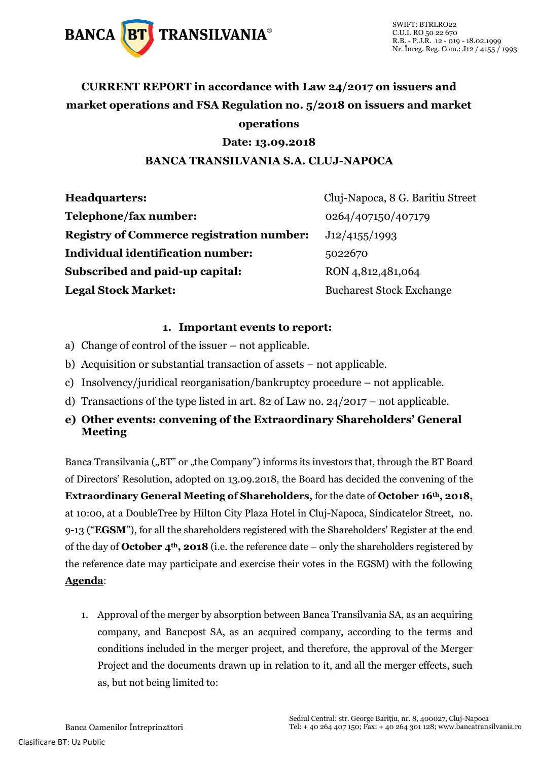

### **CURRENT REPORT in accordance with Law 24/2017 on issuers and market operations and FSA Regulation no. 5/2018 on issuers and market operations**

#### **Date: 13.09.2018**

#### **BANCA TRANSILVANIA S.A. CLUJ-NAPOCA**

| <b>Headquarters:</b>                             | Cluj-Napoca, 8 G. Baritiu Street |
|--------------------------------------------------|----------------------------------|
| Telephone/fax number:                            | 0264/407150/407179               |
| <b>Registry of Commerce registration number:</b> | J12/4155/1993                    |
| Individual identification number:                | 5022670                          |
| Subscribed and paid-up capital:                  | RON 4,812,481,064                |
| <b>Legal Stock Market:</b>                       | <b>Bucharest Stock Exchange</b>  |

#### **1. Important events to report:**

- a) Change of control of the issuer not applicable.
- b) Acquisition or substantial transaction of assets not applicable.
- c) Insolvency/juridical reorganisation/bankruptcy procedure not applicable.
- d) Transactions of the type listed in art. 82 of Law no. 24/2017 not applicable.
- **e) Other events: convening of the Extraordinary Shareholders' General Meeting**

Banca Transilvania ("BT" or "the Company") informs its investors that, through the BT Board of Directors' Resolution, adopted on 13.09.2018, the Board has decided the convening of the **Extraordinary General Meeting of Shareholders,** for the date of **October 16th, 2018,**  at 10:00, at a DoubleTree by Hilton City Plaza Hotel in Cluj-Napoca, Sindicatelor Street, no. 9-13 ("**EGSM**"), for all the shareholders registered with the Shareholders' Register at the end of the day of **October 4th, 2018** (i.e. the reference date – only the shareholders registered by the reference date may participate and exercise their votes in the EGSM) with the following **Agenda**:

1. Approval of the merger by absorption between Banca Transilvania SA, as an acquiring company, and Bancpost SA, as an acquired company, according to the terms and conditions included in the merger project, and therefore, the approval of the Merger Project and the documents drawn up in relation to it, and all the merger effects, such as, but not being limited to: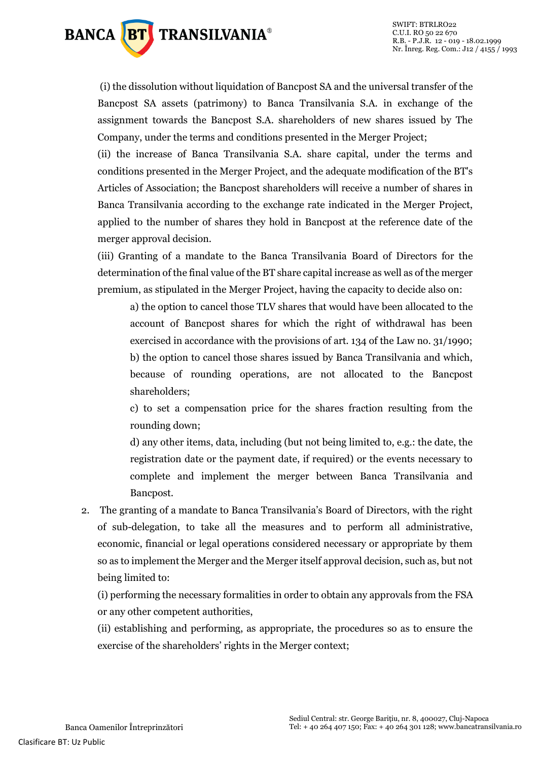

(i) the dissolution without liquidation of Bancpost SA and the universal transfer of the Bancpost SA assets (patrimony) to Banca Transilvania S.A. in exchange of the assignment towards the Bancpost S.A. shareholders of new shares issued by The Company, under the terms and conditions presented in the Merger Project;

(ii) the increase of Banca Transilvania S.A. share capital, under the terms and conditions presented in the Merger Project, and the adequate modification of the BT's Articles of Association; the Bancpost shareholders will receive a number of shares in Banca Transilvania according to the exchange rate indicated in the Merger Project, applied to the number of shares they hold in Bancpost at the reference date of the merger approval decision.

(iii) Granting of a mandate to the Banca Transilvania Board of Directors for the determination of the final value of the BT share capital increase as well as of the merger premium, as stipulated in the Merger Project, having the capacity to decide also on:

a) the option to cancel those TLV shares that would have been allocated to the account of Bancpost shares for which the right of withdrawal has been exercised in accordance with the provisions of art. 134 of the Law no. 31/1990; b) the option to cancel those shares issued by Banca Transilvania and which, because of rounding operations, are not allocated to the Bancpost shareholders;

c) to set a compensation price for the shares fraction resulting from the rounding down;

d) any other items, data, including (but not being limited to, e.g.: the date, the registration date or the payment date, if required) or the events necessary to complete and implement the merger between Banca Transilvania and Bancpost.

2. The granting of a mandate to Banca Transilvania's Board of Directors, with the right of sub-delegation, to take all the measures and to perform all administrative, economic, financial or legal operations considered necessary or appropriate by them so as to implement the Merger and the Merger itself approval decision, such as, but not being limited to:

(i) performing the necessary formalities in order to obtain any approvals from the FSA or any other competent authorities,

(ii) establishing and performing, as appropriate, the procedures so as to ensure the exercise of the shareholders' rights in the Merger context;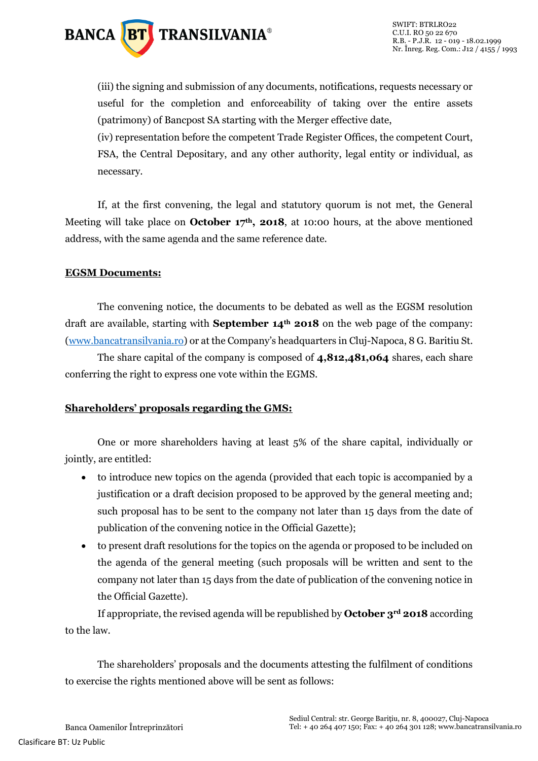

(iii) the signing and submission of any documents, notifications, requests necessary or useful for the completion and enforceability of taking over the entire assets (patrimony) of Bancpost SA starting with the Merger effective date,

(iv) representation before the competent Trade Register Offices, the competent Court, FSA, the Central Depositary, and any other authority, legal entity or individual, as necessary.

If, at the first convening, the legal and statutory quorum is not met, the General Meeting will take place on **October 17th, 2018**, at 10:00 hours, at the above mentioned address, with the same agenda and the same reference date.

#### **EGSM Documents:**

The convening notice, the documents to be debated as well as the EGSM resolution draft are available, starting with **September 14th 2018** on the web page of the company: [\(www.bancatransilvania.ro](http://www.bancatransilvania.ro/)) or at the Company's headquarters in Cluj-Napoca, 8 G. Baritiu St.

The share capital of the company is composed of **4,812,481,064** shares, each share conferring the right to express one vote within the EGMS.

#### **Shareholders' proposals regarding the GMS:**

One or more shareholders having at least 5% of the share capital, individually or jointly, are entitled:

- to introduce new topics on the agenda (provided that each topic is accompanied by a justification or a draft decision proposed to be approved by the general meeting and; such proposal has to be sent to the company not later than 15 days from the date of publication of the convening notice in the Official Gazette);
- to present draft resolutions for the topics on the agenda or proposed to be included on the agenda of the general meeting (such proposals will be written and sent to the company not later than 15 days from the date of publication of the convening notice in the Official Gazette).

If appropriate, the revised agenda will be republished by **October 3rd 2018** according to the law.

The shareholders' proposals and the documents attesting the fulfilment of conditions to exercise the rights mentioned above will be sent as follows: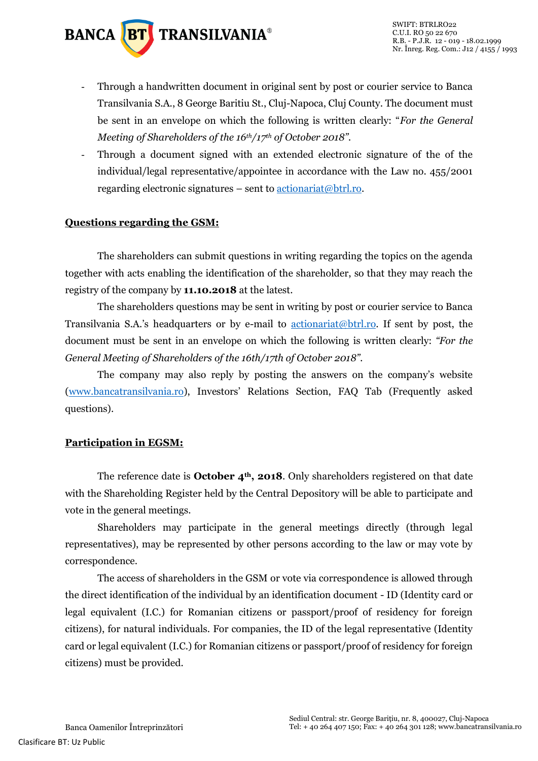

- Through a handwritten document in original sent by post or courier service to Banca Transilvania S.A., 8 George Baritiu St., Cluj-Napoca, Cluj County. The document must be sent in an envelope on which the following is written clearly: "*For the General Meeting of Shareholders of the 16th/17th of October 2018".*
- Through a document signed with an extended electronic signature of the of the individual/legal representative/appointee in accordance with the Law no. 455/2001 regarding electronic signatures – sent to  $\frac{\text{actionariat}(\omega \text{btrl},\text{ro.}}{\text{cosh}(\omega \text{cosh})}$

#### **Questions regarding the GSM:**

The shareholders can submit questions in writing regarding the topics on the agenda together with acts enabling the identification of the shareholder, so that they may reach the registry of the company by **11.10.2018** at the latest.

The shareholders questions may be sent in writing by post or courier service to Banca Transilvania S.A.'s headquarters or by e-mail to [actionariat@btrl.ro.](mailto:actionariat@btrl.ro) If sent by post, the document must be sent in an envelope on which the following is written clearly: *"For the General Meeting of Shareholders of the 16th/17th of October 2018".*

The company may also reply by posting the answers on the company's website [\(www.bancatransilvania.ro\)](http://www.bancatransilvania.ro/), Investors' Relations Section, FAQ Tab (Frequently asked questions).

#### **Participation in EGSM:**

The reference date is **October 4th, 2018**. Only shareholders registered on that date with the Shareholding Register held by the Central Depository will be able to participate and vote in the general meetings.

Shareholders may participate in the general meetings directly (through legal representatives), may be represented by other persons according to the law or may vote by correspondence.

The access of shareholders in the GSM or vote via correspondence is allowed through the direct identification of the individual by an identification document - ID (Identity card or legal equivalent (I.C.) for Romanian citizens or passport/proof of residency for foreign citizens), for natural individuals. For companies, the ID of the legal representative (Identity card or legal equivalent (I.C.) for Romanian citizens or passport/proof of residency for foreign citizens) must be provided.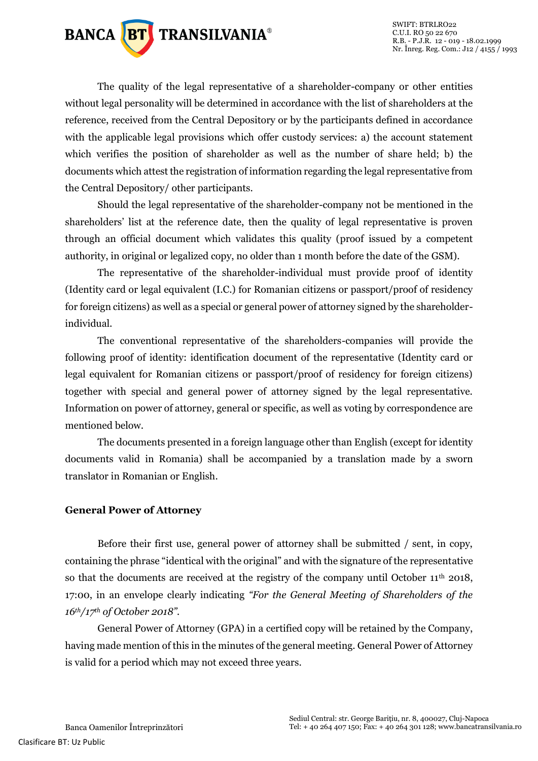

The quality of the legal representative of a shareholder-company or other entities without legal personality will be determined in accordance with the list of shareholders at the reference, received from the Central Depository or by the participants defined in accordance with the applicable legal provisions which offer custody services: a) the account statement which verifies the position of shareholder as well as the number of share held; b) the documents which attest the registration of information regarding the legal representative from the Central Depository/ other participants.

Should the legal representative of the shareholder-company not be mentioned in the shareholders' list at the reference date, then the quality of legal representative is proven through an official document which validates this quality (proof issued by a competent authority, in original or legalized copy, no older than 1 month before the date of the GSM).

The representative of the shareholder-individual must provide proof of identity (Identity card or legal equivalent (I.C.) for Romanian citizens or passport/proof of residency for foreign citizens) as well as a special or general power of attorney signed by the shareholderindividual.

The conventional representative of the shareholders-companies will provide the following proof of identity: identification document of the representative (Identity card or legal equivalent for Romanian citizens or passport/proof of residency for foreign citizens) together with special and general power of attorney signed by the legal representative. Information on power of attorney, general or specific, as well as voting by correspondence are mentioned below.

The documents presented in a foreign language other than English (except for identity documents valid in Romania) shall be accompanied by a translation made by a sworn translator in Romanian or English.

#### **General Power of Attorney**

Before their first use, general power of attorney shall be submitted / sent, in copy, containing the phrase "identical with the original" and with the signature of the representative so that the documents are received at the registry of the company until October 11<sup>th</sup> 2018, 17:00, in an envelope clearly indicating *"For the General Meeting of Shareholders of the 16th/17th of October 2018".*

General Power of Attorney (GPA) in a certified copy will be retained by the Company, having made mention of this in the minutes of the general meeting. General Power of Attorney is valid for a period which may not exceed three years.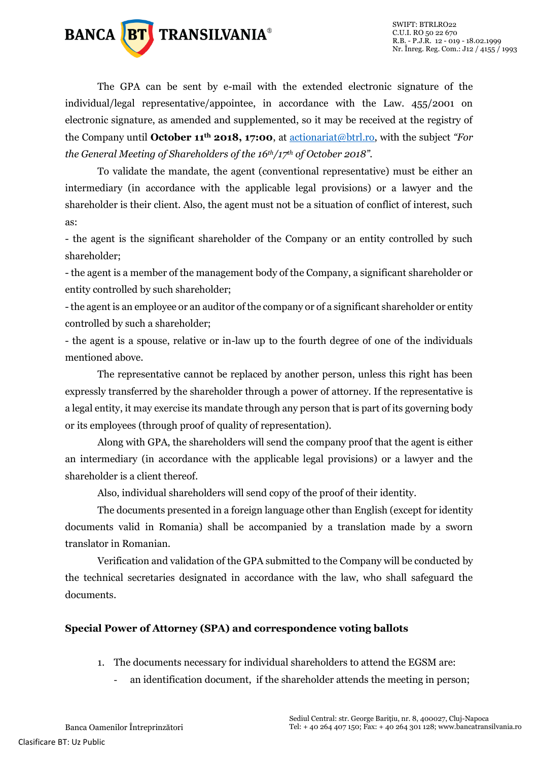

The GPA can be sent by e-mail with the extended electronic signature of the individual/legal representative/appointee, in accordance with the Law. 455/2001 on electronic signature, as amended and supplemented, so it may be received at the registry of the Company until **October 11th 2018, 17:00**, at [actionariat@btrl.ro,](mailto:actionariat@btrl.ro) with the subject *"For the General Meeting of Shareholders of the 16th/17th of October 2018".*

To validate the mandate, the agent (conventional representative) must be either an intermediary (in accordance with the applicable legal provisions) or a lawyer and the shareholder is their client. Also, the agent must not be a situation of conflict of interest, such as:

- the agent is the significant shareholder of the Company or an entity controlled by such shareholder;

- the agent is a member of the management body of the Company, a significant shareholder or entity controlled by such shareholder;

-the agent is an employee or an auditor of the company or of a significant shareholder or entity controlled by such a shareholder;

- the agent is a spouse, relative or in-law up to the fourth degree of one of the individuals mentioned above.

The representative cannot be replaced by another person, unless this right has been expressly transferred by the shareholder through a power of attorney. If the representative is a legal entity, it may exercise its mandate through any person that is part of its governing body or its employees (through proof of quality of representation).

Along with GPA, the shareholders will send the company proof that the agent is either an intermediary (in accordance with the applicable legal provisions) or a lawyer and the shareholder is a client thereof.

Also, individual shareholders will send copy of the proof of their identity.

The documents presented in a foreign language other than English (except for identity documents valid in Romania) shall be accompanied by a translation made by a sworn translator in Romanian.

Verification and validation of the GPA submitted to the Company will be conducted by the technical secretaries designated in accordance with the law, who shall safeguard the documents.

#### **Special Power of Attorney (SPA) and correspondence voting ballots**

- 1. The documents necessary for individual shareholders to attend the EGSM are:
	- an identification document, if the shareholder attends the meeting in person;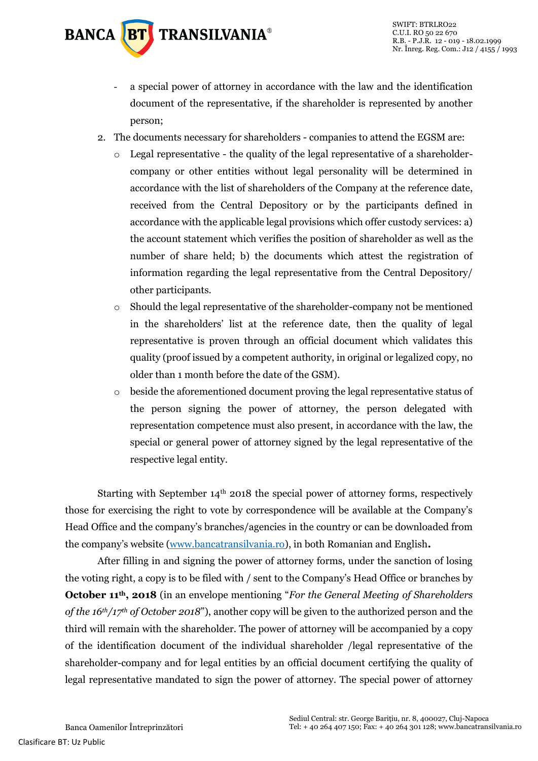

- a special power of attorney in accordance with the law and the identification document of the representative, if the shareholder is represented by another person;
- 2. The documents necessary for shareholders companies to attend the EGSM are:
	- $\circ$  Legal representative the quality of the legal representative of a shareholdercompany or other entities without legal personality will be determined in accordance with the list of shareholders of the Company at the reference date, received from the Central Depository or by the participants defined in accordance with the applicable legal provisions which offer custody services: a) the account statement which verifies the position of shareholder as well as the number of share held; b) the documents which attest the registration of information regarding the legal representative from the Central Depository/ other participants.
	- o Should the legal representative of the shareholder-company not be mentioned in the shareholders' list at the reference date, then the quality of legal representative is proven through an official document which validates this quality (proof issued by a competent authority, in original or legalized copy, no older than 1 month before the date of the GSM).
	- $\circ$  beside the aforementioned document proving the legal representative status of the person signing the power of attorney, the person delegated with representation competence must also present, in accordance with the law, the special or general power of attorney signed by the legal representative of the respective legal entity.

Starting with September  $14<sup>th</sup>$  2018 the special power of attorney forms, respectively those for exercising the right to vote by correspondence will be available at the Company's Head Office and the company's branches/agencies in the country or can be downloaded from the company's website [\(www.bancatransilvania.ro\)](http://www.bancatransilvania.ro/), in both Romanian and English**.**

After filling in and signing the power of attorney forms, under the sanction of losing the voting right, a copy is to be filed with / sent to the Company's Head Office or branches by **October 11th, 2018** (in an envelope mentioning "*For the General Meeting of Shareholders of the 16th/17th of October 2018*"), another copy will be given to the authorized person and the third will remain with the shareholder. The power of attorney will be accompanied by a copy of the identification document of the individual shareholder /legal representative of the shareholder-company and for legal entities by an official document certifying the quality of legal representative mandated to sign the power of attorney. The special power of attorney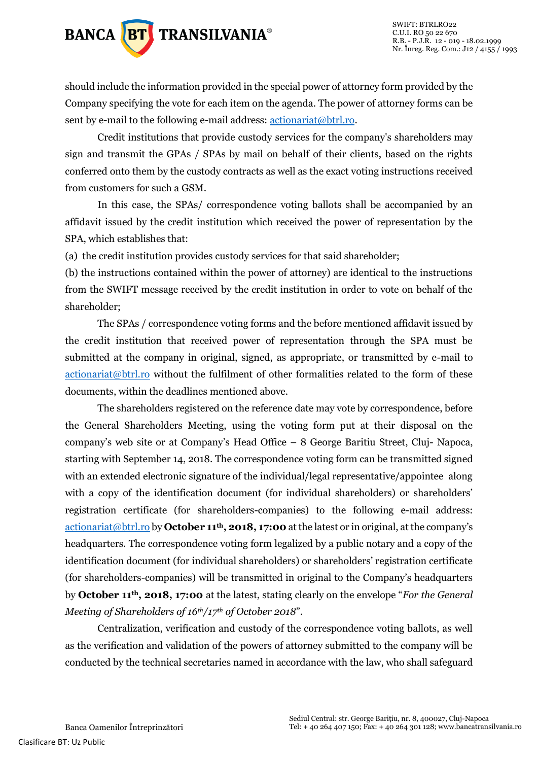

should include the information provided in the special power of attorney form provided by the Company specifying the vote for each item on the agenda. The power of attorney forms can be sent by e-mail to the following e-mail address[: actionariat@btrl.ro.](mailto:actionariat@btrl.ro)

Credit institutions that provide custody services for the company's shareholders may sign and transmit the GPAs / SPAs by mail on behalf of their clients, based on the rights conferred onto them by the custody contracts as well as the exact voting instructions received from customers for such a GSM.

In this case, the SPAs/ correspondence voting ballots shall be accompanied by an affidavit issued by the credit institution which received the power of representation by the SPA, which establishes that:

(a) the credit institution provides custody services for that said shareholder;

(b) the instructions contained within the power of attorney) are identical to the instructions from the SWIFT message received by the credit institution in order to vote on behalf of the shareholder;

The SPAs / correspondence voting forms and the before mentioned affidavit issued by the credit institution that received power of representation through the SPA must be submitted at the company in original, signed, as appropriate, or transmitted by e-mail to [actionariat@btrl.ro](mailto:actionariat@btrl.ro) without the fulfilment of other formalities related to the form of these documents, within the deadlines mentioned above.

The shareholders registered on the reference date may vote by correspondence, before the General Shareholders Meeting, using the voting form put at their disposal on the company's web site or at Company's Head Office – 8 George Baritiu Street, Cluj- Napoca, starting with September 14, 2018. The correspondence voting form can be transmitted signed with an extended electronic signature of the individual/legal representative/appointee along with a copy of the identification document (for individual shareholders) or shareholders' registration certificate (for shareholders-companies) to the following e-mail address: [actionariat@btrl.ro](mailto:actionariat@btrl.ro) by **October 11th, 2018, 17:00** at the latest or in original, at the company's headquarters. The correspondence voting form legalized by a public notary and a copy of the identification document (for individual shareholders) or shareholders' registration certificate (for shareholders-companies) will be transmitted in original to the Company's headquarters by **October 11th, 2018, 17:00** at the latest, stating clearly on the envelope "*For the General Meeting of Shareholders of 16th/17th of October 2018*".

Centralization, verification and custody of the correspondence voting ballots, as well as the verification and validation of the powers of attorney submitted to the company will be conducted by the technical secretaries named in accordance with the law, who shall safeguard